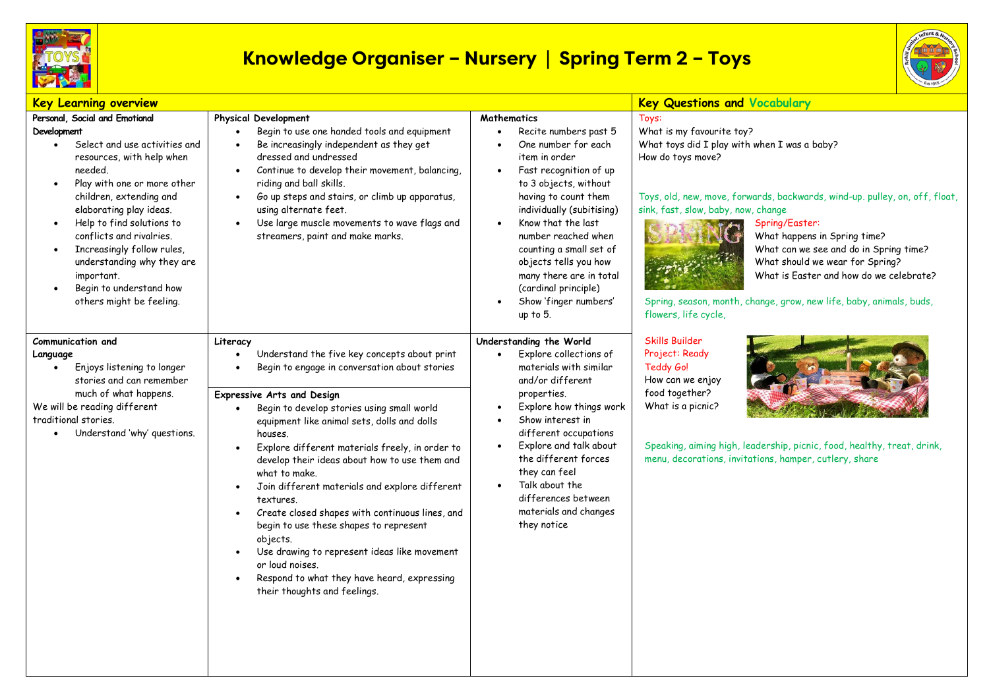

## **Knowledge Organiser – Nursery | Spring Term 2 – Toys**



| <b>Key Learning overview</b>                                                                                                                                                                                                                                                                                                                                                                                       |                                                                                                                                                                                                                                                                                                                                                                                                                                                                                                                                                                                                                                                                                                                                                           |                                                                                                                                                                                                                                                                                                                                                                                      | <b>Key Questions and Vocabulary</b>                                                                                                                                                                                                                                                                                                                                                                                                                                                                    |
|--------------------------------------------------------------------------------------------------------------------------------------------------------------------------------------------------------------------------------------------------------------------------------------------------------------------------------------------------------------------------------------------------------------------|-----------------------------------------------------------------------------------------------------------------------------------------------------------------------------------------------------------------------------------------------------------------------------------------------------------------------------------------------------------------------------------------------------------------------------------------------------------------------------------------------------------------------------------------------------------------------------------------------------------------------------------------------------------------------------------------------------------------------------------------------------------|--------------------------------------------------------------------------------------------------------------------------------------------------------------------------------------------------------------------------------------------------------------------------------------------------------------------------------------------------------------------------------------|--------------------------------------------------------------------------------------------------------------------------------------------------------------------------------------------------------------------------------------------------------------------------------------------------------------------------------------------------------------------------------------------------------------------------------------------------------------------------------------------------------|
| Personal, Social and Emotional<br>Development<br>Select and use activities and<br>$\bullet$<br>resources, with help when<br>needed.<br>Play with one or more other<br>children, extending and<br>elaborating play ideas.<br>Help to find solutions to<br>conflicts and rivalries.<br>Increasingly follow rules,<br>understanding why they are<br>important.<br>Begin to understand how<br>others might be feeling. | <b>Physical Development</b><br>Begin to use one handed tools and equipment<br>Be increasingly independent as they get<br>dressed and undressed<br>Continue to develop their movement, balancing,<br>$\bullet$<br>riding and ball skills.<br>Go up steps and stairs, or climb up apparatus,<br>$\bullet$<br>using alternate feet.<br>Use large muscle movements to wave flags and<br>$\bullet$<br>streamers, paint and make marks.                                                                                                                                                                                                                                                                                                                         | <b>Mathematics</b><br>Recite numbers past 5<br>One number for each<br>item in order<br>Fast recognition of up<br>to 3 objects, without<br>having to count them<br>individually (subitising)<br>Know that the last<br>number reached when<br>counting a small set of<br>objects tells you how<br>many there are in total<br>(cardinal principle)<br>Show 'finger numbers'<br>up to 5. | Toys:<br>What is my favourite toy?<br>What toys did I play with when I was a baby?<br>How do toys move?<br>Toys, old, new, move, forwards, backwards, wind-up. pulley, on, off, float,<br>sink, fast, slow, baby, now, change<br>Spring/Easter:<br>What happens in Spring time?<br>What can we see and do in Spring time?<br>What should we wear for Spring?<br>What is Easter and how do we celebrate?<br>Spring, season, month, change, grow, new life, baby, animals, buds,<br>flowers, life cycle, |
| Communication and<br>Language<br>Enjoys listening to longer<br>stories and can remember<br>much of what happens.<br>We will be reading different<br>traditional stories.<br>Understand 'why' questions.                                                                                                                                                                                                            | Literacy<br>Understand the five key concepts about print<br>Begin to engage in conversation about stories<br>$\bullet$<br><b>Expressive Arts and Design</b><br>Begin to develop stories using small world<br>equipment like animal sets, dolls and dolls<br>houses.<br>Explore different materials freely, in order to<br>develop their ideas about how to use them and<br>what to make.<br>Join different materials and explore different<br>$\bullet$<br>textures.<br>Create closed shapes with continuous lines, and<br>$\bullet$<br>begin to use these shapes to represent<br>objects.<br>Use drawing to represent ideas like movement<br>$\bullet$<br>or loud noises.<br>Respond to what they have heard, expressing<br>their thoughts and feelings. | Understanding the World<br>Explore collections of<br>materials with similar<br>and/or different<br>properties.<br>Explore how things work<br>Show interest in<br>different occupations<br>Explore and talk about<br>the different forces<br>they can feel<br>Talk about the<br>differences between<br>materials and changes<br>they notice                                           | <b>Skills Builder</b><br>Project: Ready<br>Teddy Go!<br>How can we enjoy<br>food together?<br>What is a picnic?<br>Speaking, aiming high, leadership, picnic, food, healthy, treat, drink,<br>menu, decorations, invitations, hamper, cutlery, share                                                                                                                                                                                                                                                   |